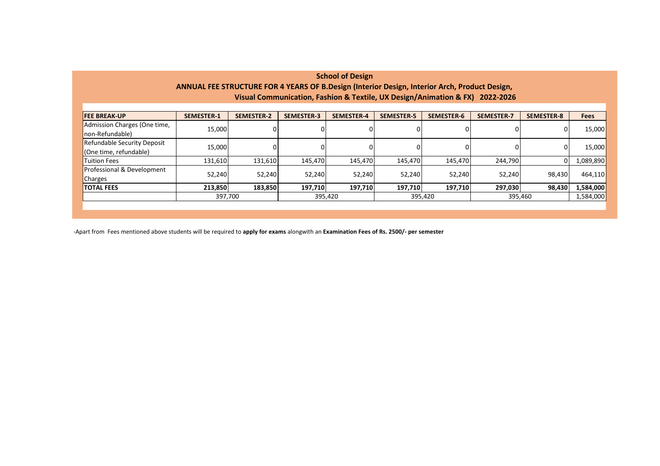| <b>School of Design</b>                                                                       |                   |                   |                   |                   |                   |                   |                   |                   |             |
|-----------------------------------------------------------------------------------------------|-------------------|-------------------|-------------------|-------------------|-------------------|-------------------|-------------------|-------------------|-------------|
| ANNUAL FEE STRUCTURE FOR 4 YEARS OF B.Design (Interior Design, Interior Arch, Product Design, |                   |                   |                   |                   |                   |                   |                   |                   |             |
| Visual Communication, Fashion & Textile, UX Design/Animation & FX) 2022-2026                  |                   |                   |                   |                   |                   |                   |                   |                   |             |
|                                                                                               |                   |                   |                   |                   |                   |                   |                   |                   |             |
| <b>FEE BREAK-UP</b>                                                                           | <b>SEMESTER-1</b> | <b>SEMESTER-2</b> | <b>SEMESTER-3</b> | <b>SEMESTER-4</b> | <b>SEMESTER-5</b> | <b>SEMESTER-6</b> | <b>SEMESTER-7</b> | <b>SEMESTER-8</b> | <b>Fees</b> |
| Admission Charges (One time,                                                                  | 15,000            |                   |                   |                   |                   |                   |                   | 0                 | 15,000      |
| non-Refundable)                                                                               |                   |                   |                   |                   |                   |                   |                   |                   |             |
| Refundable Security Deposit                                                                   |                   | 15,000            |                   |                   |                   |                   | 0                 | 0                 | 15,000      |
| (One time, refundable)                                                                        |                   |                   |                   |                   |                   |                   |                   |                   |             |
| <b>Tuition Fees</b>                                                                           | 131,610           | 131,610           | 145,470           | 145,470           | 145,470           | 145,470           | 244,790           | 0                 | 1,089,890   |
| Professional & Development                                                                    | 52,240            | 52,240            | 52,240            | 52,240            | 52,240            | 52,240            | 52,240            | 98,430            | 464,110     |
| Charges                                                                                       |                   |                   |                   |                   |                   |                   |                   |                   |             |
| <b>TOTAL FEES</b>                                                                             | 213,850           | 183,850           | 197,710           | 197,710           | 197,710           | 197,710           | 297,030           | 98,430            | 1,584,000   |
|                                                                                               | 397,700           |                   | 395,420           |                   | 395,420           |                   | 395,460           |                   | 1,584,000   |
|                                                                                               |                   |                   |                   |                   |                   |                   |                   |                   |             |

-Apart from Fees mentioned above students will be required to **apply for exams** alongwith an **Examination Fees of Rs. 2500/- per semester**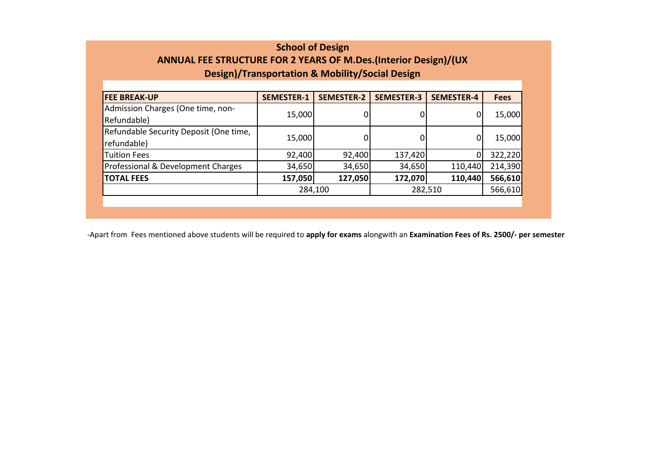## **School of Design ANNUAL FEE STRUCTURE FOR 2 YEARS OF M.Des.(Interior Design)/(UX Design)/Transportation & Mobility/Social Design**

| <b>FEE BREAK-UP</b>                    | <b>SEMESTER-1</b> | <b>SEMESTER-2</b> | <b>SEMESTER-3</b> | <b>SEMESTER-4</b> | <b>Fees</b> |
|----------------------------------------|-------------------|-------------------|-------------------|-------------------|-------------|
| Admission Charges (One time, non-      | 15,000            |                   |                   | 0                 | 15,000      |
| Refundable)                            |                   | 0                 |                   |                   |             |
| Refundable Security Deposit (One time, |                   |                   |                   | 0                 |             |
| refundable)                            | 15,000            | 0                 |                   |                   | 15,000      |
| <b>Tuition Fees</b>                    | 92,400            | 92,400            | 137,420           | 0                 | 322,220     |
| Professional & Development Charges     | 34,650            | 34,650            | 34,650            | 110,440           | 214,390     |
| <b>TOTAL FEES</b>                      | 157,050           | 127,050           | 172,070           | 110,440           | 566,610     |
|                                        | 284,100           |                   | 282,510           | 566,610           |             |
|                                        |                   |                   |                   |                   |             |

-Apart from Fees mentioned above students will be required to **apply for exams** alongwith an **Examination Fees of Rs. 2500/- per semester**